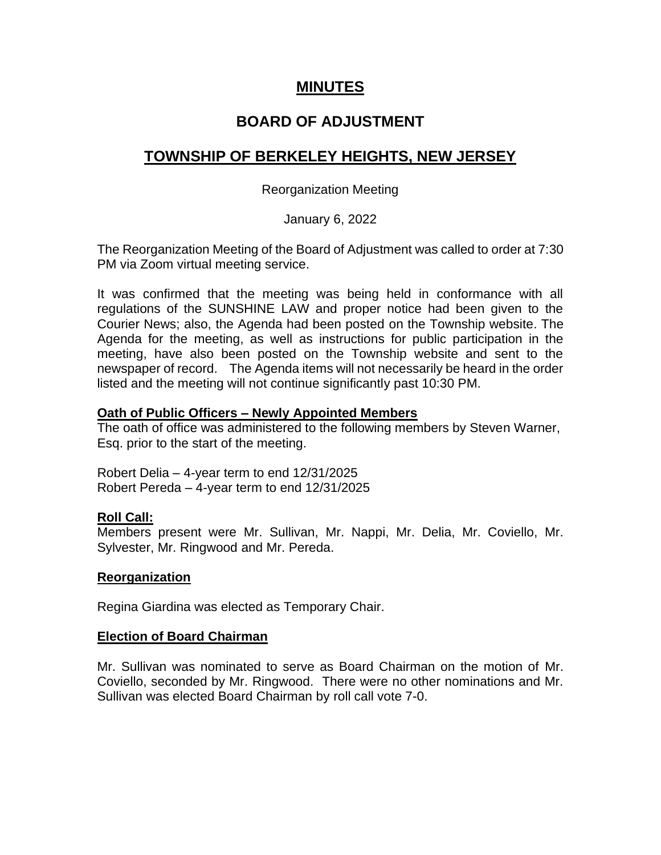## **MINUTES**

## **BOARD OF ADJUSTMENT**

# **TOWNSHIP OF BERKELEY HEIGHTS, NEW JERSEY**

## Reorganization Meeting

## January 6, 2022

The Reorganization Meeting of the Board of Adjustment was called to order at 7:30 PM via Zoom virtual meeting service.

It was confirmed that the meeting was being held in conformance with all regulations of the SUNSHINE LAW and proper notice had been given to the Courier News; also, the Agenda had been posted on the Township website. The Agenda for the meeting, as well as instructions for public participation in the meeting, have also been posted on the Township website and sent to the newspaper of record. The Agenda items will not necessarily be heard in the order listed and the meeting will not continue significantly past 10:30 PM.

## **Oath of Public Officers – Newly Appointed Members**

The oath of office was administered to the following members by Steven Warner, Esq. prior to the start of the meeting.

Robert Delia – 4-year term to end 12/31/2025 Robert Pereda – 4-year term to end 12/31/2025

## **Roll Call:**

Members present were Mr. Sullivan, Mr. Nappi, Mr. Delia, Mr. Coviello, Mr. Sylvester, Mr. Ringwood and Mr. Pereda.

#### **Reorganization**

Regina Giardina was elected as Temporary Chair.

#### **Election of Board Chairman**

Mr. Sullivan was nominated to serve as Board Chairman on the motion of Mr. Coviello, seconded by Mr. Ringwood. There were no other nominations and Mr. Sullivan was elected Board Chairman by roll call vote 7-0.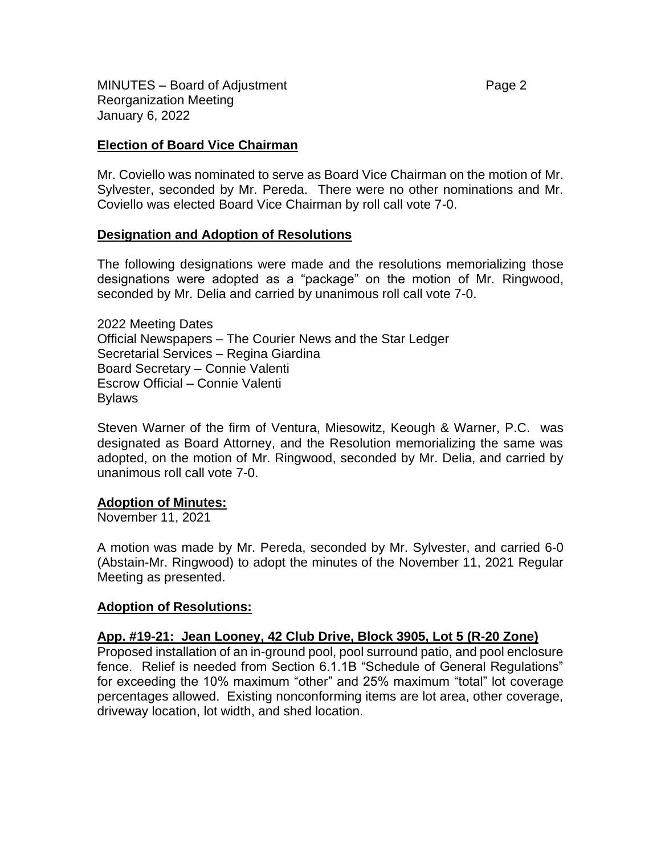MINUTES – Board of Adjustment **Page 2** and Page 2 Reorganization Meeting January 6, 2022

#### **Election of Board Vice Chairman**

Mr. Coviello was nominated to serve as Board Vice Chairman on the motion of Mr. Sylvester, seconded by Mr. Pereda. There were no other nominations and Mr. Coviello was elected Board Vice Chairman by roll call vote 7-0.

#### **Designation and Adoption of Resolutions**

The following designations were made and the resolutions memorializing those designations were adopted as a "package" on the motion of Mr. Ringwood, seconded by Mr. Delia and carried by unanimous roll call vote 7-0.

2022 Meeting Dates Official Newspapers – The Courier News and the Star Ledger Secretarial Services – Regina Giardina Board Secretary – Connie Valenti Escrow Official – Connie Valenti Bylaws

Steven Warner of the firm of Ventura, Miesowitz, Keough & Warner, P.C. was designated as Board Attorney, and the Resolution memorializing the same was adopted, on the motion of Mr. Ringwood, seconded by Mr. Delia, and carried by unanimous roll call vote 7-0.

#### **Adoption of Minutes:**

November 11, 2021

A motion was made by Mr. Pereda, seconded by Mr. Sylvester, and carried 6-0 (Abstain-Mr. Ringwood) to adopt the minutes of the November 11, 2021 Regular Meeting as presented.

#### **Adoption of Resolutions:**

#### **App. #19-21: Jean Looney, 42 Club Drive, Block 3905, Lot 5 (R-20 Zone)**

Proposed installation of an in-ground pool, pool surround patio, and pool enclosure fence. Relief is needed from Section 6.1.1B "Schedule of General Regulations" for exceeding the 10% maximum "other" and 25% maximum "total" lot coverage percentages allowed. Existing nonconforming items are lot area, other coverage, driveway location, lot width, and shed location.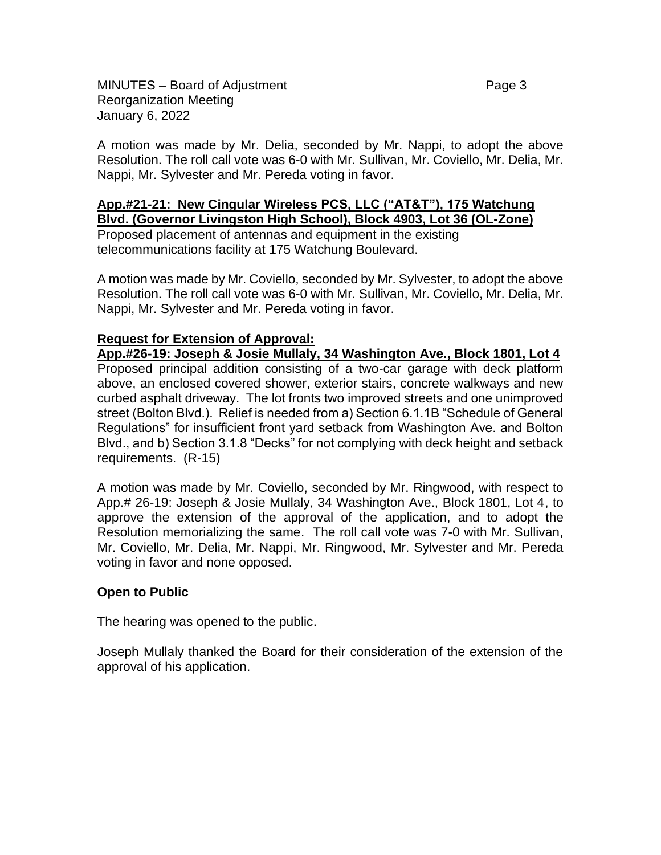MINUTES – Board of Adjustment **Page 3** and Page 3 Reorganization Meeting January 6, 2022

A motion was made by Mr. Delia, seconded by Mr. Nappi, to adopt the above Resolution. The roll call vote was 6-0 with Mr. Sullivan, Mr. Coviello, Mr. Delia, Mr. Nappi, Mr. Sylvester and Mr. Pereda voting in favor.

#### **App.#21-21: New Cingular Wireless PCS, LLC ("AT&T"), 175 Watchung Blvd. (Governor Livingston High School), Block 4903, Lot 36 (OL-Zone)**

Proposed placement of antennas and equipment in the existing telecommunications facility at 175 Watchung Boulevard.

A motion was made by Mr. Coviello, seconded by Mr. Sylvester, to adopt the above Resolution. The roll call vote was 6-0 with Mr. Sullivan, Mr. Coviello, Mr. Delia, Mr. Nappi, Mr. Sylvester and Mr. Pereda voting in favor.

### **Request for Extension of Approval:**

**App.#26-19: Joseph & Josie Mullaly, 34 Washington Ave., Block 1801, Lot 4** Proposed principal addition consisting of a two-car garage with deck platform above, an enclosed covered shower, exterior stairs, concrete walkways and new curbed asphalt driveway. The lot fronts two improved streets and one unimproved street (Bolton Blvd.). Relief is needed from a) Section 6.1.1B "Schedule of General Regulations" for insufficient front yard setback from Washington Ave. and Bolton Blvd., and b) Section 3.1.8 "Decks" for not complying with deck height and setback requirements. (R-15)

A motion was made by Mr. Coviello, seconded by Mr. Ringwood, with respect to App.# 26-19: Joseph & Josie Mullaly, 34 Washington Ave., Block 1801, Lot 4, to approve the extension of the approval of the application, and to adopt the Resolution memorializing the same. The roll call vote was 7-0 with Mr. Sullivan, Mr. Coviello, Mr. Delia, Mr. Nappi, Mr. Ringwood, Mr. Sylvester and Mr. Pereda voting in favor and none opposed.

## **Open to Public**

The hearing was opened to the public.

Joseph Mullaly thanked the Board for their consideration of the extension of the approval of his application.